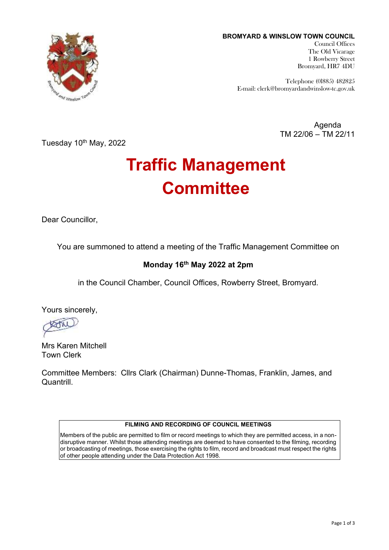

**BROMYARD & WINSLOW TOWN COUNCIL** Council Offices The Old Vicarage 1 Rowberry Street Bromyard, HR7 4DU

> Telephone (0l885) 482825 E-mail: clerk@bromyardandwinslow-tc.gov.uk

> > Agenda TM 22/06 – TM 22/11

Tuesday 10<sup>th</sup> May, 2022

# **Traffic Management Committee**

Dear Councillor,

You are summoned to attend a meeting of the Traffic Management Committee on

# **Monday 16th May 2022 at 2pm**

in the Council Chamber, Council Offices, Rowberry Street, Bromyard.

Yours sincerely,

Mrs Karen Mitchell Town Clerk

Committee Members: Cllrs Clark (Chairman) Dunne-Thomas, Franklin, James, and Quantrill.

#### **FILMING AND RECORDING OF COUNCIL MEETINGS**

Members of the public are permitted to film or record meetings to which they are permitted access, in a nondisruptive manner. Whilst those attending meetings are deemed to have consented to the filming, recording or broadcasting of meetings, those exercising the rights to film, record and broadcast must respect the rights of other people attending under the Data Protection Act 1998.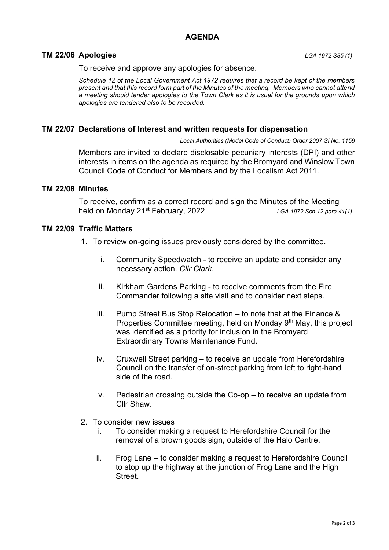## **AGENDA**

#### **TM 22/06 Apologies** *LGA 1972 S85 (1)*

To receive and approve any apologies for absence.

*Schedule 12 of the Local Government Act 1972 requires that a record be kept of the members present and that this record form part of the Minutes of the meeting. Members who cannot attend a meeting should tender apologies to the Town Clerk as it is usual for the grounds upon which apologies are tendered also to be recorded.*

#### **TM 22/07 Declarations of Interest and written requests for dispensation**

*Local Authorities (Model Code of Conduct) Order 2007 SI No. 1159*

Members are invited to declare disclosable pecuniary interests (DPI) and other interests in items on the agenda as required by the Bromyard and Winslow Town Council Code of Conduct for Members and by the Localism Act 2011.

#### **TM 22/08 Minutes**

To receive, confirm as a correct record and sign the Minutes of the Meeting held on Monday 21st February, 2022*LGA 1972 Sch 12 para 41(1)*

#### **TM 22/09 Traffic Matters**

- 1. To review on-going issues previously considered by the committee.
	- i. Community Speedwatch to receive an update and consider any necessary action. *Cllr Clark.*
	- ii. Kirkham Gardens Parking to receive comments from the Fire Commander following a site visit and to consider next steps.
	- iii. Pump Street Bus Stop Relocation to note that at the Finance & Properties Committee meeting, held on Monday 9<sup>th</sup> May, this project was identified as a priority for inclusion in the Bromyard Extraordinary Towns Maintenance Fund.
	- iv. Cruxwell Street parking to receive an update from Herefordshire Council on the transfer of on-street parking from left to right-hand side of the road.
	- v. Pedestrian crossing outside the Co-op to receive an update from Cllr Shaw.
- 2. To consider new issues
	- i. To consider making a request to Herefordshire Council for the removal of a brown goods sign, outside of the Halo Centre.
	- ii. Frog Lane to consider making a request to Herefordshire Council to stop up the highway at the junction of Frog Lane and the High **Street**